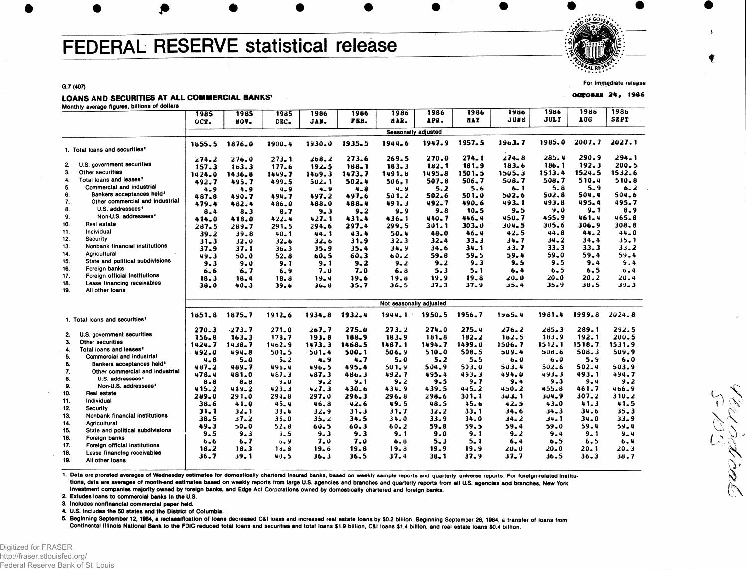# FEDERAL RESERVE statistical release

" PALRESE".

**For immediate release**

 $\searrow$ 

74. P

 $L_{\wedge}$ 

**OCtOB M 2 4 , 1\*8 6**

**G.7 (407)**

### LOANS AND SECURITIES AT ALL COMMERCIAL BANKS'

**Monthly average figures, billions of dollars**

| <b>JULY</b><br><b>AUG</b><br>JUNE<br><b>MAY</b><br>APR.<br>PEB.<br>HAR.<br>JAN.<br>OCT.<br>NOV-<br>DEC.<br>Seasonally adjusted<br>1985.0<br>2007.7<br>1957.5<br>1963.7<br>1947.9<br>1935.5<br>1944.6<br>1930.0<br>1876.0<br>$1900 - 4$<br>1855.5<br>1. Total loans and securities <sup>2</sup><br>$290 - 9$<br>274.8<br>285.4<br>274.1<br>270.0<br>273.6<br>269.5<br>276.0<br>268.2<br>274.2<br>$273 - 1$<br>U.S. government securities<br>192.3<br>$186 - 1$<br>2.<br>181.9<br>183.6<br>182.1<br>183.3<br>188.1<br>103.3<br>177.6<br>$192 - 5$<br>157.3<br>3.<br>Other securities<br>1513.4<br>1524.5<br>1505.3<br>1495.8<br>1501.5<br>1491.5<br>1469.3<br>1473.7<br>1436.8<br>1449.7<br>$1424 - 0$<br>Total loans and leases <sup>2</sup><br>4.<br>510.4<br>508.7<br>508.7<br>507.8<br>506.7<br>502.4<br>506.1<br>492.7<br>495.7<br>499.5<br>502.1<br>5.<br>Commercial and industrial<br>5.9<br>5.8<br>5.6<br>6.1<br>$5 - 2$<br>$4 - 9$<br>4.9<br>$4 - 8$<br>4.9<br>4.9<br>$4 - 9$<br>Bankers acceptances held <sup>3</sup><br>6.<br>504.4<br>502.8<br>502.6<br>501.0<br>502.6<br>497.2<br>501.2<br>487.8<br>490.7<br>497.6<br>494.7<br>Other commercial and industrial<br>7.<br>495.4<br>490.6<br>$493 - 1$<br>493.8<br>492.7<br>488.4<br>491.3<br>488.0<br>479.4<br>482.4<br>486.0<br>8.<br>U.S. addressees <sup>4</sup><br>9.0<br>$9 - 1$<br>$9 - 8$<br>9.5<br>$10 - 5$<br>$9 - 2$<br>$9 - 9$ | <b>SEPT</b><br>2027.1<br>294.1<br>$200 - 5$<br>1532.6<br>$510 - 8$<br>6.2<br>504.6<br>495.7<br>8.9<br>465.8<br>308.8 |
|----------------------------------------------------------------------------------------------------------------------------------------------------------------------------------------------------------------------------------------------------------------------------------------------------------------------------------------------------------------------------------------------------------------------------------------------------------------------------------------------------------------------------------------------------------------------------------------------------------------------------------------------------------------------------------------------------------------------------------------------------------------------------------------------------------------------------------------------------------------------------------------------------------------------------------------------------------------------------------------------------------------------------------------------------------------------------------------------------------------------------------------------------------------------------------------------------------------------------------------------------------------------------------------------------------------------------------------------------------------------------------------------------|----------------------------------------------------------------------------------------------------------------------|
|                                                                                                                                                                                                                                                                                                                                                                                                                                                                                                                                                                                                                                                                                                                                                                                                                                                                                                                                                                                                                                                                                                                                                                                                                                                                                                                                                                                                    |                                                                                                                      |
|                                                                                                                                                                                                                                                                                                                                                                                                                                                                                                                                                                                                                                                                                                                                                                                                                                                                                                                                                                                                                                                                                                                                                                                                                                                                                                                                                                                                    |                                                                                                                      |
|                                                                                                                                                                                                                                                                                                                                                                                                                                                                                                                                                                                                                                                                                                                                                                                                                                                                                                                                                                                                                                                                                                                                                                                                                                                                                                                                                                                                    |                                                                                                                      |
|                                                                                                                                                                                                                                                                                                                                                                                                                                                                                                                                                                                                                                                                                                                                                                                                                                                                                                                                                                                                                                                                                                                                                                                                                                                                                                                                                                                                    |                                                                                                                      |
|                                                                                                                                                                                                                                                                                                                                                                                                                                                                                                                                                                                                                                                                                                                                                                                                                                                                                                                                                                                                                                                                                                                                                                                                                                                                                                                                                                                                    |                                                                                                                      |
|                                                                                                                                                                                                                                                                                                                                                                                                                                                                                                                                                                                                                                                                                                                                                                                                                                                                                                                                                                                                                                                                                                                                                                                                                                                                                                                                                                                                    |                                                                                                                      |
|                                                                                                                                                                                                                                                                                                                                                                                                                                                                                                                                                                                                                                                                                                                                                                                                                                                                                                                                                                                                                                                                                                                                                                                                                                                                                                                                                                                                    |                                                                                                                      |
|                                                                                                                                                                                                                                                                                                                                                                                                                                                                                                                                                                                                                                                                                                                                                                                                                                                                                                                                                                                                                                                                                                                                                                                                                                                                                                                                                                                                    |                                                                                                                      |
|                                                                                                                                                                                                                                                                                                                                                                                                                                                                                                                                                                                                                                                                                                                                                                                                                                                                                                                                                                                                                                                                                                                                                                                                                                                                                                                                                                                                    |                                                                                                                      |
|                                                                                                                                                                                                                                                                                                                                                                                                                                                                                                                                                                                                                                                                                                                                                                                                                                                                                                                                                                                                                                                                                                                                                                                                                                                                                                                                                                                                    |                                                                                                                      |
|                                                                                                                                                                                                                                                                                                                                                                                                                                                                                                                                                                                                                                                                                                                                                                                                                                                                                                                                                                                                                                                                                                                                                                                                                                                                                                                                                                                                    |                                                                                                                      |
| 8.7<br>$9 - 3$<br>$8 - 4$<br>$8 - 3$                                                                                                                                                                                                                                                                                                                                                                                                                                                                                                                                                                                                                                                                                                                                                                                                                                                                                                                                                                                                                                                                                                                                                                                                                                                                                                                                                               |                                                                                                                      |
| Non-U.S. addressees <sup>4</sup><br>9.<br>455.9<br>461.4<br>446.4<br>450.7<br>440.7<br>$436 - 1$<br>$427 - 1$<br>431.4<br>418.0<br>422.4<br>414_0                                                                                                                                                                                                                                                                                                                                                                                                                                                                                                                                                                                                                                                                                                                                                                                                                                                                                                                                                                                                                                                                                                                                                                                                                                                  |                                                                                                                      |
| 10.<br>Real estate<br>303.0<br>305.6<br>306.9<br>299.5<br>301.1<br>304.5<br>297.4<br>291.5<br>294.6<br>287.5<br>289.7                                                                                                                                                                                                                                                                                                                                                                                                                                                                                                                                                                                                                                                                                                                                                                                                                                                                                                                                                                                                                                                                                                                                                                                                                                                                              |                                                                                                                      |
| Individual<br>11.<br>44.2<br>46.4<br>$42 - 5$<br>$44 - 8$<br>50.4<br>48.0<br>43.4<br>39.2<br>$39 - 8$<br>$40 - 1$<br>44.1                                                                                                                                                                                                                                                                                                                                                                                                                                                                                                                                                                                                                                                                                                                                                                                                                                                                                                                                                                                                                                                                                                                                                                                                                                                                          | 44.0                                                                                                                 |
| 12.<br>Security<br>34.2<br>34.4<br>$33 - 3$<br><b>34.7</b><br>$32 - 3$<br>32.4<br>32.6<br>$32 - 6$<br>31.9<br>$31 - 3$<br>$32 - 0$                                                                                                                                                                                                                                                                                                                                                                                                                                                                                                                                                                                                                                                                                                                                                                                                                                                                                                                                                                                                                                                                                                                                                                                                                                                                 | 35.1                                                                                                                 |
| Nonbank financial institutions<br>13.<br>33.7<br>$33 - 3$<br>33.3<br>34.9<br>34.6<br>$34 - 1$<br>37.1<br>35.9<br>35.4<br>$37 - 9$<br>$36 - 3$                                                                                                                                                                                                                                                                                                                                                                                                                                                                                                                                                                                                                                                                                                                                                                                                                                                                                                                                                                                                                                                                                                                                                                                                                                                      | 33.2                                                                                                                 |
| 14.<br>Aoricultural<br>59.0<br>59.4<br>59.5<br>59.4<br>60.2<br>59.8<br>60.5<br>$60 - 3$<br>49.3<br>50.0<br>52.8                                                                                                                                                                                                                                                                                                                                                                                                                                                                                                                                                                                                                                                                                                                                                                                                                                                                                                                                                                                                                                                                                                                                                                                                                                                                                    | 59.4                                                                                                                 |
| State and political subdivisions<br>15.<br>$9 - 3$<br>$9 - 5$<br>9.5<br>9.4<br>$9 - 2$<br>9.3<br>$9 - 0$<br>$9 - 1$<br>9.1<br>$9 - 2$<br>$9 - 2$                                                                                                                                                                                                                                                                                                                                                                                                                                                                                                                                                                                                                                                                                                                                                                                                                                                                                                                                                                                                                                                                                                                                                                                                                                                   | 9.4                                                                                                                  |
| 16.<br>Foreign banks<br>$6 - 4$<br>$6 - 5$<br>$6 - 8$<br>5.3<br>5.1<br>$6 - 5$<br>6.9<br>7.0<br>7.0<br>$6 - 6$<br>6.7                                                                                                                                                                                                                                                                                                                                                                                                                                                                                                                                                                                                                                                                                                                                                                                                                                                                                                                                                                                                                                                                                                                                                                                                                                                                              | 6.4                                                                                                                  |
| Foreign official institutions<br>17.<br>19.9<br>$20 - 0$<br>20.2<br>19.8<br>19.8<br>∠0= 0<br>18.3<br>$18 - 8$<br>19.6<br>18.4<br>19.4                                                                                                                                                                                                                                                                                                                                                                                                                                                                                                                                                                                                                                                                                                                                                                                                                                                                                                                                                                                                                                                                                                                                                                                                                                                              | 20.4                                                                                                                 |
| 18.<br>Lease financing receivables<br>38.5<br>36.5<br>37.3<br>37.9<br>35.4<br>35.9<br>35.7<br>38.0<br>40.3<br>39.6<br>36.8                                                                                                                                                                                                                                                                                                                                                                                                                                                                                                                                                                                                                                                                                                                                                                                                                                                                                                                                                                                                                                                                                                                                                                                                                                                                         | $39 - 3$                                                                                                             |
| 19.<br>All other loans                                                                                                                                                                                                                                                                                                                                                                                                                                                                                                                                                                                                                                                                                                                                                                                                                                                                                                                                                                                                                                                                                                                                                                                                                                                                                                                                                                             |                                                                                                                      |
| Not seasonally adjusted                                                                                                                                                                                                                                                                                                                                                                                                                                                                                                                                                                                                                                                                                                                                                                                                                                                                                                                                                                                                                                                                                                                                                                                                                                                                                                                                                                            |                                                                                                                      |
| 1956.7<br>$1965 - 4$<br>1981.4<br>1999.8<br>1875.7<br>1932.4<br>1950.5<br>1851.8<br>1912.6<br>1934.8<br>1944.1                                                                                                                                                                                                                                                                                                                                                                                                                                                                                                                                                                                                                                                                                                                                                                                                                                                                                                                                                                                                                                                                                                                                                                                                                                                                                     | $2024 - 8$                                                                                                           |
| 1. Total loans and securities <sup>2</sup>                                                                                                                                                                                                                                                                                                                                                                                                                                                                                                                                                                                                                                                                                                                                                                                                                                                                                                                                                                                                                                                                                                                                                                                                                                                                                                                                                         |                                                                                                                      |
| 275.4<br>289.1<br>$-273.7$<br>271.0<br>267.7<br>275.0<br>273.2<br>274.0<br>276.2<br>$285 - 3$<br>270.3                                                                                                                                                                                                                                                                                                                                                                                                                                                                                                                                                                                                                                                                                                                                                                                                                                                                                                                                                                                                                                                                                                                                                                                                                                                                                             | 292.5                                                                                                                |
| U.S. government securities<br>2.<br>183.9<br>192.1<br>163.3<br>178.7<br>193.8<br>188.9<br>183.9<br>181.8<br>182.2<br>182.5<br>$156 - 8$                                                                                                                                                                                                                                                                                                                                                                                                                                                                                                                                                                                                                                                                                                                                                                                                                                                                                                                                                                                                                                                                                                                                                                                                                                                            | 200.5                                                                                                                |
| 3.<br>Other securities<br>1462.9<br>1487.1<br>1494.7<br>1499.0<br>1506.7<br>1512.1<br>1518.7<br>1424.7<br>$1438 - 7$<br>1473.3<br>1468.5                                                                                                                                                                                                                                                                                                                                                                                                                                                                                                                                                                                                                                                                                                                                                                                                                                                                                                                                                                                                                                                                                                                                                                                                                                                           | 1531.9                                                                                                               |
| Total loans and leases <sup>2</sup><br>4.<br>$510 - 0$<br>508.5<br>509.4<br>508.3<br>492.0<br>494.8<br>501.5<br>501.4<br>500.1<br>506.9<br>308.6<br>5.<br>Commercial and industrial                                                                                                                                                                                                                                                                                                                                                                                                                                                                                                                                                                                                                                                                                                                                                                                                                                                                                                                                                                                                                                                                                                                                                                                                                | 509.9                                                                                                                |
| $5-0$<br>$5 - 2$<br>$5 - 5$<br>5.9<br>$4 - 8$<br>$5 - 0$<br>$5 - 2$<br>4.9<br>4.7<br>$6 - 0$<br>0.0<br>6.<br>Bankers acceptances held <sup>3</sup>                                                                                                                                                                                                                                                                                                                                                                                                                                                                                                                                                                                                                                                                                                                                                                                                                                                                                                                                                                                                                                                                                                                                                                                                                                                 | $6 - 0$                                                                                                              |
| 489.7<br>501.9<br>503.0<br>503.4<br>502.6<br>502.4<br>$487 - 2$<br>496.5<br>495.4<br>504.9<br>496.4<br>7.<br>Othsy commercial and industrial                                                                                                                                                                                                                                                                                                                                                                                                                                                                                                                                                                                                                                                                                                                                                                                                                                                                                                                                                                                                                                                                                                                                                                                                                                                       | 503.9                                                                                                                |
| 493.1<br>492.7<br>495.4<br>493.3<br>494.0<br>493.3<br>478.4<br>481.0<br>467.3<br>487.3<br>486.3<br>U.S. addressees <sup>4</sup><br>8.                                                                                                                                                                                                                                                                                                                                                                                                                                                                                                                                                                                                                                                                                                                                                                                                                                                                                                                                                                                                                                                                                                                                                                                                                                                              | 494.7                                                                                                                |
| 9.7<br>9.4<br>9.3<br>$9 - 4$<br>$8 - 8$<br>8.8<br>$9 - 0$<br>$9 - 2$<br>9.1<br>9.2<br>$9 - 5$<br>Non-U.S. addressees <sup>4</sup><br>9.                                                                                                                                                                                                                                                                                                                                                                                                                                                                                                                                                                                                                                                                                                                                                                                                                                                                                                                                                                                                                                                                                                                                                                                                                                                            | 9.2                                                                                                                  |
| 434.9<br>439.5<br>445.2<br>455.8<br>461.7<br>415.2<br>419.2<br>423.3<br>427.3<br>430.6<br>450.2<br>10.<br>Real estate                                                                                                                                                                                                                                                                                                                                                                                                                                                                                                                                                                                                                                                                                                                                                                                                                                                                                                                                                                                                                                                                                                                                                                                                                                                                              | 466.9                                                                                                                |
| 291.0<br>297.0<br>296.3<br>296.8<br>$298 - 6$<br>301.1<br>303.1<br>$304 - 9$<br>307.2<br>289.0<br>$294 - 8$<br>11.<br>Individual                                                                                                                                                                                                                                                                                                                                                                                                                                                                                                                                                                                                                                                                                                                                                                                                                                                                                                                                                                                                                                                                                                                                                                                                                                                                   | 310.2                                                                                                                |
| 41.0<br>$42 - 6$<br>49.5<br>48.5<br>45.6<br>42.5<br>$43 - 0$<br>41.3<br>38.6<br>45.4<br>46.8<br>12.<br>Security                                                                                                                                                                                                                                                                                                                                                                                                                                                                                                                                                                                                                                                                                                                                                                                                                                                                                                                                                                                                                                                                                                                                                                                                                                                                                    | 41.5                                                                                                                 |
| 33.4<br>32.9<br>31.7<br>$32 - 2$<br>33.1<br>$34 - 6$<br>$34 - 3$<br>34.6<br>31.1<br>32.1<br>31.3<br>13.<br>Nonbank financial institutions                                                                                                                                                                                                                                                                                                                                                                                                                                                                                                                                                                                                                                                                                                                                                                                                                                                                                                                                                                                                                                                                                                                                                                                                                                                          | 35.3                                                                                                                 |
| $38 - 5$<br>$33 - 9$<br>$34 - 0$<br>34.0<br>37.2<br>$36 - 0$<br>35. z<br>34.5<br>$34 - 0$<br>34.2<br>1 ـ 14<br>14.<br>Agricultural                                                                                                                                                                                                                                                                                                                                                                                                                                                                                                                                                                                                                                                                                                                                                                                                                                                                                                                                                                                                                                                                                                                                                                                                                                                                 | $33 - 9$                                                                                                             |
| 49.3<br>$50 - 0$<br>52.8<br>60.5<br>60.3<br>$60 - 2$<br>59.8<br>59.5<br>59.4<br>59.0<br>59.4<br>15.<br>State and political subdivisions                                                                                                                                                                                                                                                                                                                                                                                                                                                                                                                                                                                                                                                                                                                                                                                                                                                                                                                                                                                                                                                                                                                                                                                                                                                            | 59.4                                                                                                                 |
| $9 - 5$<br>$9 - 3$<br>9.5<br>$9 - 3$<br>9.3<br>$9 - 1$<br>$9 - 0$<br>$9 - 1$<br>$9 - 2$<br>$9 - 4$<br>$9 - 1$<br>16.<br>Foreign banks                                                                                                                                                                                                                                                                                                                                                                                                                                                                                                                                                                                                                                                                                                                                                                                                                                                                                                                                                                                                                                                                                                                                                                                                                                                              | $9 - 4$                                                                                                              |
| $5 - 3$<br>6.5<br>6.5<br>6.6<br>6.7<br>6.9<br>7.0<br>7.0<br>6.8<br>5. 1<br>6.4<br>17.<br>Foreign official institutions                                                                                                                                                                                                                                                                                                                                                                                                                                                                                                                                                                                                                                                                                                                                                                                                                                                                                                                                                                                                                                                                                                                                                                                                                                                                             | 6.4                                                                                                                  |
| $18 - 2$<br>19.9<br>$20 - 0$<br>18.3<br>18.8<br>19.6<br>19.8<br>19.8<br>19.9<br>20.0<br>20. 1<br>18.<br>Lease financing receivables                                                                                                                                                                                                                                                                                                                                                                                                                                                                                                                                                                                                                                                                                                                                                                                                                                                                                                                                                                                                                                                                                                                                                                                                                                                                |                                                                                                                      |
| 36.7<br>39.1<br>$36 - 5$<br>37.4<br>$38 - 1$<br>37.9<br>37.7<br>36.5<br>36.3<br>40.5<br>36.3<br>19.<br>All other loans                                                                                                                                                                                                                                                                                                                                                                                                                                                                                                                                                                                                                                                                                                                                                                                                                                                                                                                                                                                                                                                                                                                                                                                                                                                                             | $20 - 3$<br>38.7                                                                                                     |

1. Data are prorated averages of Wednesday estimates for domestically chartered insured banks, based on weekly sample reports and quarterly universe reports. For foreign-related institutions, data are averages of month-end estimates based on weekly reports from large U.S. agencies and branches and quarterly reports from all U.S. agencies and branches, New York Investment companies majority owned by foreign banks, and Edge Act Corporations owned by domestically chartered and foreign banks.

**2. Exludes loans to commercial banks in the U.S.**

**3. Includes nonflnanclal commercial paper held.**

**4. U.S. includes the 50 states and the District of Columbia.**

5. Beginning September 12, 1984, a reclassification of loans decreased C&I loans and increased real estate loans by \$0.2 billion. Beginning September 26, 1984, a transfer of loans from Continental Illinois National Bank to the FDIC reduced total loans and securities and total loans \$1.9 billion, C&I loans \$1.4 billion, and real estate loans \$0.4 billion.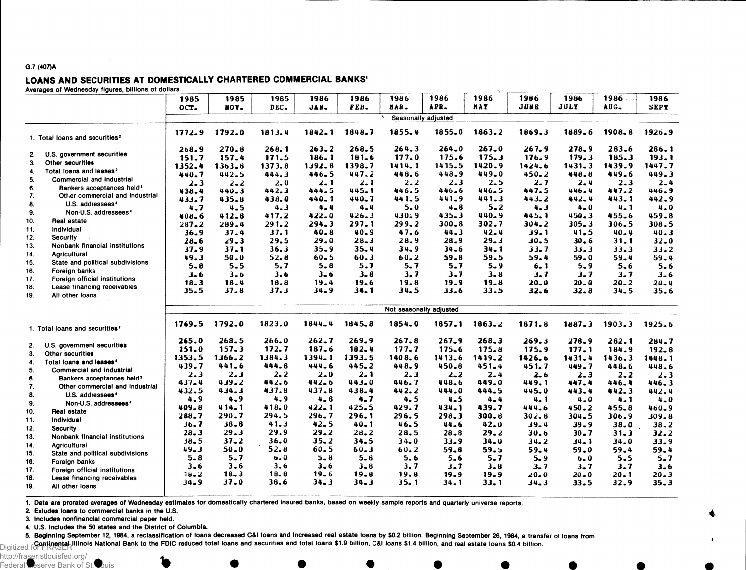#### G.7 (407)A

## LOANS AND SECURITIES AT DOMESTICALLY CHARTERED COMMERCIAL BANKS<sup>1</sup><br>Averages of Wednesday figures, billions of dollars

|            | 3 or woundoauf nguroo, bimono or ac            |          |            |            |                         |           |                     |            |            |           |            |            |            |
|------------|------------------------------------------------|----------|------------|------------|-------------------------|-----------|---------------------|------------|------------|-----------|------------|------------|------------|
|            |                                                | 1985     | 1985       | 1985       | 1986                    | 1986      | 1986                | 1986       | 1986       | 1986      | 1986       | 1986       | 1986       |
|            |                                                | OCT.     | HOV.       | DEC.       | JAN-                    | PEB.      | MAR.                | APR.       | <b>HAY</b> | JUNE      | JULY       | AUG.       | SEPT       |
|            |                                                |          |            |            |                         |           | Seasonally adjusted |            |            |           |            |            |            |
|            | 1. Total loans and securities <sup>2</sup>     | 1772.9   | 1792.0     | 1813.4     | $1842 - 1$              | 1848.7    | 1855.4              | $1855 - 0$ | $1863 - 2$ | 1869.3    | 1889.6     | 1908.8     | 1926.9     |
|            |                                                | 268.9    | 270.8      | 268.1      | $263 - 2$               | 268.5     | 264.3               | 264.0      | 267.0      | $267 - 9$ | 278.9      | 283.6      | 286.1      |
| 2.         | U.S. government securities                     | 151.7    | 157.4      | 171.5      | $186 - 1$               | 181.6     | 177.0               | 175.6      | 175.3      | 176.9     | 179.3      | 185.3      | 193.1      |
| 3.         | Other securities                               | 1352.4   | $1363 - 8$ | $1373 - 8$ | $1392 - 8$              | 1398.7    | 1414.1              | 1415.5     | 1420.9     | 1424.6    | $1431 - 3$ | 1439.9     | 1447.7     |
| 4.         | Total loans and leases <sup>2</sup>            | 440.7    | 442.5      | 444.3      | 446.5                   | 447.2     | 448.6               | 448.9      | 449.0      | $450 - 2$ | 448.8      | 449.6      | 449.3      |
| 5.         | Commercial and industrial                      | $2 - 3$  | $2 - 2$    | $2 - 0$    | $2 - 1$                 | 2. 1      | $2 - 2$             | $2 - 3$    | 2.5        | $2 - 7$   | 2.4        | $2 - 3$    | $2 - 4$    |
| 6.         | Bankers acceptances held <sup>3</sup>          | 438.4    | 440.3      | 442.3      | 444.5                   | 445.1     | 446.5               | 446.6      | 446.5      | 447.5     | 446.4      | 447.2      | 446.9      |
| 7.         | Other commercial and industrial                | 433.7    | 435.8      | 438.0      | $440 - 1$               | 440.7     | 441.5               | 441.9      | 441.3      | 443.2     | $442 - 4$  | 443.1      | 442.9      |
| 8.         | U.S. addressees <sup>4</sup>                   | 4.7      | $4 - 5$    | $4 - 3$    | $4 - 4$                 | 4.4       | 5.0                 | $4 - 8$    | $5 - 2$    | 4.3       | $4 - 0$    | $4 - 1$    | $4 - 0$    |
| 9.         | Non-U.S. addressees <sup>4</sup>               | 408.6    | $412 - 8$  | 417.2      | $422 - 0$               | 426.3     | 430.9               | $435 - 3$  | 440.9      | 445.1     | 450.3      | 455.6      | 459.8      |
| 10.        | Real estate                                    | 287.2    | 289.4      | 291.2      | $294 - 3$               | 297.1     | 299.2               | $300 - 8$  | 302.7      | 304.2     | $305 - 3$  | $306 - 5$  | 308.5      |
| 11.        | Individual                                     | 36.9     | $37 - 4$   | $37 - 1$   | 40.8                    | $40 - 9$  | 47.6                | $44 - 3$   | $42 - 4$   | $39 - 1$  | $41 - 5$   | $40 - 4$   | $40 - 3$   |
| 12.        | <b>Security</b>                                | $28 - 6$ | $29 - 3$   | 29.5       | 29.0                    | $28 - 3$  | 28.9                | $28 - 9$   | $29 - 3$   | 30.5      | 30.6       | 31.1       | $32 - 0$   |
| 13.        | Nonbank financial institutions                 | 37.9     | $37 - 1$   | 36.3       | 35.9                    | $35 - 4$  | 34.9                | $34 - 6$   | 34.1       | $33 - 7$  | 33.3       | 33.3       | 33.2       |
| 14.        | Agricultural                                   | 49.3     | 50.0       | $52 - 8$   | $60 - 5$                | $60 - 3$  | $60 - 2$            | $59 - 8$   | 59.5       | 59.4      | $59 - 0$   | $59 - 4$   | $59 - 4$   |
| 15.        | State and political subdivisions               | $5 - 8$  | $5 - 5$    | $5 - 7$    | $5 - 8$                 | 5.7       | 5.7                 | $5 - 7$    | $5 - 9$    | $6 - 1$   | $5 - 9$    | $5 - 6$    | $5 - 6$    |
| 16.        | Foreign banks                                  | $3 - 6$  | $3 - b$    | 3.6        | $3 - 6$                 | $3 - 8$   | 3.7                 | 3.7        | $3 - 8$    | 3.7       | $3 - 7$    | 3.7        | $3 - 6$    |
| 17.        | Foreign official institutions                  | 18.3     | 18.4       | $18 - 8$   | 19.4                    | 19.6      | 19.8                | 19.9       | 19.8       | $20 - 0$  | $20 - 0$   | $20 - 2$   | $20 - 4$   |
| 18.        | Lease financing receivables                    | $35 - 5$ | $37 - 8$   | 37.3       | $34 - 9$                | $34 - 1$  | 34.5                | $33 - 6$   | 33.5       | 32.6      | $32 - 8$   | $34 - 5$   | 35.6       |
| 19.        | All other loans                                |          |            |            |                         |           |                     |            |            |           |            |            |            |
|            |                                                |          |            |            | Not seasonally adjusted |           |                     |            |            |           |            |            |            |
|            | 1. Total loans and securities <sup>2</sup>     | 1769.5   | 1792.0     | 1823.0     | 1844.4                  | 1845.8    | 1854.0              | 1857.1     | 1863.2     | 1871.8    | 1887.3     | $1903 - 3$ | $1925 - 6$ |
|            |                                                | 265.0    | $268 - 5$  | $266 - 0$  | $262 - 7$               | $269 - 9$ | $267 - 8$           | $267 - 9$  | 268.3      | 269.3     | 278.9      | 282.1      | 284.7      |
| 2.         | U.S. government securities                     | 151.0    | 157.3      | 172.7      | 187.6                   | $182 - 4$ | 177.7               | 175.6      | 175.8      | 175.9     | 177.1      | 184.9      | $192 - 8$  |
| 3.         | Other securities                               | 1353.5   | $1366 - 2$ | 1384.3     | $1394 - 1$              | 1393.5    | 1408.6              | 1413.6     | 1419.2     | 1426.6    | $1431 - 4$ | 1436.3     | 1448.1     |
| 4.         | Total loans and leases <sup>2</sup>            | 439.7    | $441 - 6$  | 444.8      | 444.6                   | 445.2     | 448.9               | 450.8      | 451.4      | 451.7     | $449 - 7$  | 448.6      | 448.6      |
| 5.         | Commercial and industrial                      | $2 - 3$  | $2 - 3$    | $2 - 2$    | $2 - 0$                 | $2 - 1$   | $2 - 3$             | $2 - 2$    | $2 - 4$    | $2 - 6$   | $2 - 3$    | $2 - 2$    | $2 - 3$    |
| 6.         | Bankers acceptances held <sup>3</sup>          | 437.4    | 439.2      | 442.6      | $442 - 6$               | 443.0     | 446.7               | 448.6      | 449.0      | 449.1     | 447.4      | 446.4      | 446.3      |
| 7.         | Other commercial and industrial                | 432.5    | 434.3      | 437.8      | 437.8                   | 438.4     | 442.2               | 444.0      | 444.5      | 445.0     | 443.4      | 442.3      | 442.4      |
| 8.         | U.S. addressees <sup>4</sup>                   | 4.9      | 4.9        | $4 - 9$    | $4 - 8$                 | 4.7       | 4.5                 | $4 - 5$    | $4 - 4$    | 4.1       | $4 - 0$    | $4 - 1$    | $4 - 0$    |
| 9.         | Non-U.S. addressees <sup>4</sup>               | 409.8    | $414 - 1$  | 418.0      | $422 - 1$               | 425.5     | 429.7               | $434 - 1$  | 439.7      | 444.6     | $450 - 2$  | 455.8      | 460.9      |
| 10.        | Real estate                                    | 288.7    | $290 - 7$  | 294.5      | 296.7                   | 296.1     | 296.5               | 298.3      | $300 - 8$  | $302 - 8$ | $304 - 5$  | 306.9      | 309.8      |
| 11.        | Individual                                     | 36.7     | $38 - 8$   | 41.3       | 42.5                    | 40.1      | 46.5                | 44.6       | 42.0       | $39 - 4$  | $39 - 9$   | 38.0       | $38 - 2$   |
| 12.        | <b>Security</b>                                | $28 - 3$ | 29.3       | 29.9       | 29.2                    | 28.2      | 28.5                | $28 - 8$   | $29 - 2$   | 30.6      | $30 - 7$   | $31 - 3$   | 32.2       |
| 13.        | Nonbank financial institutions                 | 38.5     | $37 - 2$   | $36 - 0$   | $35 - 2$                | 34.5      | $34 - 0$            | 33.9       | 34.0       | 34.2      | 34.1       | 34.0       | $33 - 9$   |
| 14.        | Agricultural                                   | $49 - 3$ | 50.0       | 52.8       | 60.5                    | $60 - 3$  | 60.2                | 59.8       | $59 - 5$   | $59 - 4$  | 59.0       | 59.4       | 59.4       |
| 15.        | State and political subdivisions               | $5 - 8$  | $5 - 7$    | $6 - 0$    | 5.8                     | $5 - 8$   | 5.6                 | $5 - 6$    | 5.7        | $5 - 9$   | $6 - 0$    | 5.5        | $5 - 7$    |
| 16.        | Foreign banks                                  | $3 - 6$  | $3 - 6$    | $3 - 6$    | 3.6                     | $3 - 8$   | 3.7                 | $3 - 7$    | $3 - 8$    | $3 - 7$   | $3 - 7$    | 3.7        | $3 - 6$    |
| 17.        | Foreign official institutions                  | 18.2     | $18 - 3$   | $18 - 8$   | 19.6                    | 19.8      | 19.8                | $19 - 9$   | 19.9       | $20 - 0$  | $20 - 0$   | 20. 1      | $20 - 3$   |
| 18.<br>19. | Lease financing receivables<br>All other loans | 34.9     | 37.0       | 38.6       | $34 - 3$                | 34.3      | $35 - 1$            | 34.1       | $33 - 1$   | 34.3      | 33.5       | 32.9       | 35.3       |
|            |                                                |          |            |            |                         |           |                     |            |            |           |            |            |            |

1. Data are prorated averages of Wednesday estimates for domestically chartered Insured banks, based on weekly sample reports and quarterly universe reports.

2. Exludes loans to commercial banks in the U.S.

3. Includes nonfinancial commercial paper held.

4. U.S. Includes the 50 states and the District of Columbia.

5. Beginning September 12, 1984, a reclassification of loans decreased C&l loans and Increased real estate loans by \$0.2 billion. Beginning September 26, 1984, a transfer of loans from

Continental Illinois National Bank to the FDIC reduced total loans and securities and total loans \$1.9 billion, C&I loans \$1.4 billion, and real estate loans \$0.4 billion.<br>Digitized for FRASER

http://fraser.stlouisfed.org/ Federal Reserve Bank of St. Louis